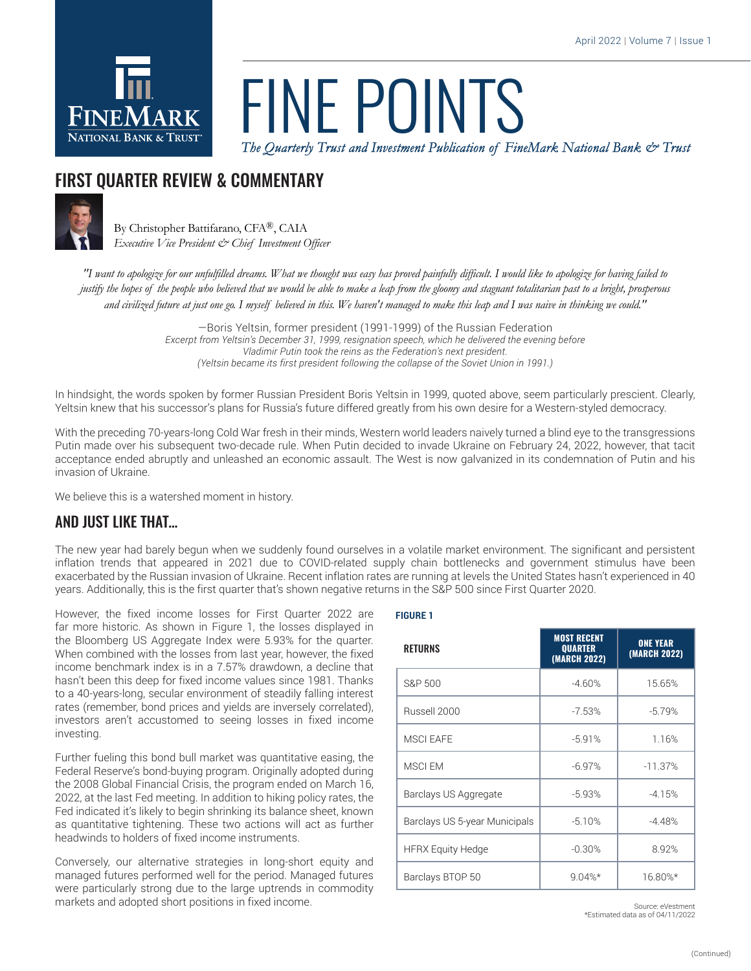

# *The Quarterly Trust and Investment Publication of FineMark National Bank & Trust* FINE POINTS

## FIRST QUARTER REVIEW & COMMENTARY



By Christopher Battifarano, CFA®, CAIA *Executive Vice President & Chief Investment Officer*

*"I want to apologize for our unfulfilled dreams. What we thought was easy has proved painfully difficult. I would like to apologize for having failed to justify the hopes of the people who believed that we would be able to make a leap from the gloomy and stagnant totalitarian past to a bright, prosperous and civilized future at just one go. I myself believed in this. We haven't managed to make this leap and I was naive in thinking we could."*

> —Boris Yeltsin, former president (1991-1999) of the Russian Federation *Excerpt from Yeltsin's December 31, 1999, resignation speech, which he delivered the evening before Vladimir Putin took the reins as the Federation's next president. (Yeltsin became its first president following the collapse of the Soviet Union in 1991.)*

In hindsight, the words spoken by former Russian President Boris Yeltsin in 1999, quoted above, seem particularly prescient. Clearly, Yeltsin knew that his successor's plans for Russia's future differed greatly from his own desire for a Western-styled democracy.

With the preceding 70-years-long Cold War fresh in their minds, Western world leaders naively turned a blind eye to the transgressions Putin made over his subsequent two-decade rule. When Putin decided to invade Ukraine on February 24, 2022, however, that tacit acceptance ended abruptly and unleashed an economic assault. The West is now galvanized in its condemnation of Putin and his invasion of Ukraine.

We believe this is a watershed moment in history.

### AND JUST LIKE THAT…

The new year had barely begun when we suddenly found ourselves in a volatile market environment. The significant and persistent inflation trends that appeared in 2021 due to COVID-related supply chain bottlenecks and government stimulus have been exacerbated by the Russian invasion of Ukraine. Recent inflation rates are running at levels the United States hasn't experienced in 40 years. Additionally, this is the first quarter that's shown negative returns in the S&P 500 since First Quarter 2020.

However, the fixed income losses for First Quarter 2022 are far more historic. As shown in Figure 1, the losses displayed in the Bloomberg US Aggregate Index were 5.93% for the quarter. When combined with the losses from last year, however, the fixed income benchmark index is in a 7.57% drawdown, a decline that hasn't been this deep for fixed income values since 1981. Thanks to a 40-years-long, secular environment of steadily falling interest rates (remember, bond prices and yields are inversely correlated), investors aren't accustomed to seeing losses in fixed income investing.

Further fueling this bond bull market was quantitative easing, the Federal Reserve's bond-buying program. Originally adopted during the 2008 Global Financial Crisis, the program ended on March 16, 2022, at the last Fed meeting. In addition to hiking policy rates, the Fed indicated it's likely to begin shrinking its balance sheet, known as quantitative tightening. These two actions will act as further headwinds to holders of fixed income instruments.

Conversely, our alternative strategies in long-short equity and managed futures performed well for the period. Managed futures were particularly strong due to the large uptrends in commodity markets and adopted short positions in fixed income.

| ۰,<br>× | ٧ |  |
|---------|---|--|

| <b>RETURNS</b>                | <b>MOST RECENT</b><br><b>QUARTER</b><br>(MARCH 2022) | <b>ONE YEAR</b><br>(MARCH 2022) |
|-------------------------------|------------------------------------------------------|---------------------------------|
| S&P 500                       | $-4.60%$                                             | 15.65%                          |
| Russell 2000                  | $-7.53%$                                             | $-5.79%$                        |
| <b>MSCI FAFE</b>              | $-5.91%$                                             | 1.16%                           |
| MSCI EM                       | $-6.97%$                                             | $-11.37%$                       |
| Barclays US Aggregate         | $-5.93%$                                             | $-4.15%$                        |
| Barclays US 5-year Municipals | $-5.10%$                                             | $-4.48%$                        |
| <b>HFRX Equity Hedge</b>      | $-0.30%$                                             | 8.92%                           |
| Barclays BTOP 50              | $9.04\%*$                                            | 16.80%*                         |

Source: eVestment \*Estimated data as of 04/11/2022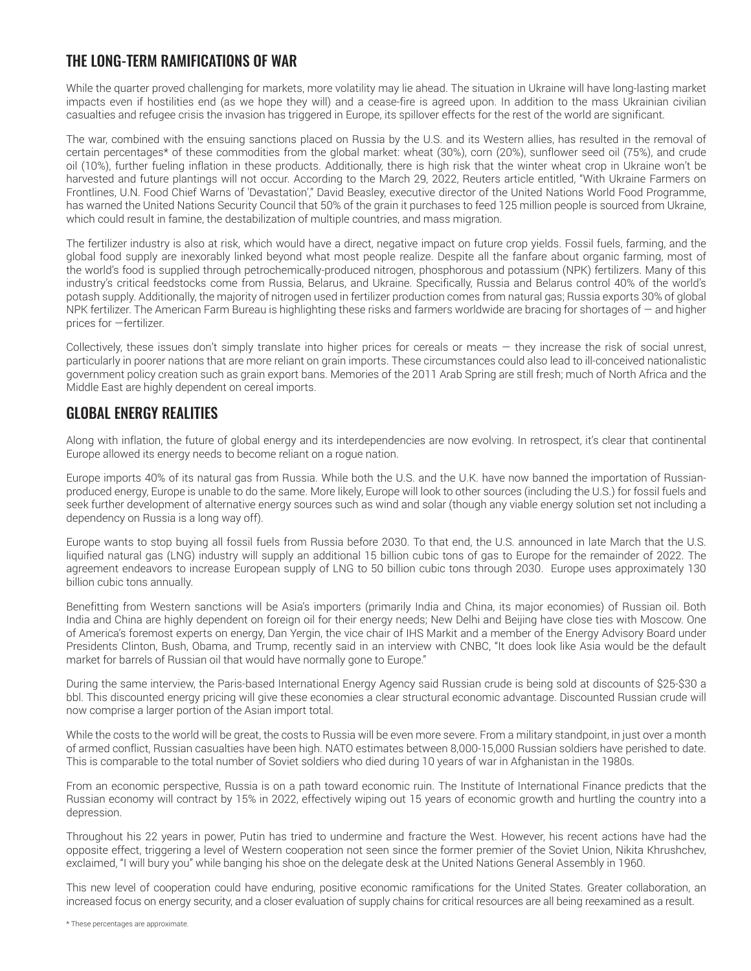#### THE LONG-TERM RAMIFICATIONS OF WAR

While the quarter proved challenging for markets, more volatility may lie ahead. The situation in Ukraine will have long-lasting market impacts even if hostilities end (as we hope they will) and a cease-fire is agreed upon. In addition to the mass Ukrainian civilian casualties and refugee crisis the invasion has triggered in Europe, its spillover effects for the rest of the world are significant.

The war, combined with the ensuing sanctions placed on Russia by the U.S. and its Western allies, has resulted in the removal of certain percentages\* of these commodities from the global market: wheat (30%), corn (20%), sunflower seed oil (75%), and crude oil (10%), further fueling inflation in these products. Additionally, there is high risk that the winter wheat crop in Ukraine won't be harvested and future plantings will not occur. According to the March 29, 2022, Reuters article entitled, "With Ukraine Farmers on Frontlines, U.N. Food Chief Warns of 'Devastation'," David Beasley, executive director of the United Nations World Food Programme, has warned the United Nations Security Council that 50% of the grain it purchases to feed 125 million people is sourced from Ukraine, which could result in famine, the destabilization of multiple countries, and mass migration.

The fertilizer industry is also at risk, which would have a direct, negative impact on future crop yields. Fossil fuels, farming, and the global food supply are inexorably linked beyond what most people realize. Despite all the fanfare about organic farming, most of the world's food is supplied through petrochemically-produced nitrogen, phosphorous and potassium (NPK) fertilizers. Many of this industry's critical feedstocks come from Russia, Belarus, and Ukraine. Specifically, Russia and Belarus control 40% of the world's potash supply. Additionally, the majority of nitrogen used in fertilizer production comes from natural gas; Russia exports 30% of global NPK fertilizer. The American Farm Bureau is highlighting these risks and farmers worldwide are bracing for shortages of — and higher prices for —fertilizer.

Collectively, these issues don't simply translate into higher prices for cereals or meats — they increase the risk of social unrest, particularly in poorer nations that are more reliant on grain imports. These circumstances could also lead to ill-conceived nationalistic government policy creation such as grain export bans. Memories of the 2011 Arab Spring are still fresh; much of North Africa and the Middle East are highly dependent on cereal imports.

#### GLOBAL ENERGY REALITIES

Along with inflation, the future of global energy and its interdependencies are now evolving. In retrospect, it's clear that continental Europe allowed its energy needs to become reliant on a rogue nation.

Europe imports 40% of its natural gas from Russia. While both the U.S. and the U.K. have now banned the importation of Russianproduced energy, Europe is unable to do the same. More likely, Europe will look to other sources (including the U.S.) for fossil fuels and seek further development of alternative energy sources such as wind and solar (though any viable energy solution set not including a dependency on Russia is a long way off).

Europe wants to stop buying all fossil fuels from Russia before 2030. To that end, the U.S. announced in late March that the U.S. liquified natural gas (LNG) industry will supply an additional 15 billion cubic tons of gas to Europe for the remainder of 2022. The agreement endeavors to increase European supply of LNG to 50 billion cubic tons through 2030. Europe uses approximately 130 billion cubic tons annually.

Benefitting from Western sanctions will be Asia's importers (primarily India and China, its major economies) of Russian oil. Both India and China are highly dependent on foreign oil for their energy needs; New Delhi and Beijing have close ties with Moscow. One of America's foremost experts on energy, Dan Yergin, the vice chair of IHS Markit and a member of the Energy Advisory Board under Presidents Clinton, Bush, Obama, and Trump, recently said in an interview with CNBC, "It does look like Asia would be the default market for barrels of Russian oil that would have normally gone to Europe."

During the same interview, the Paris-based International Energy Agency said Russian crude is being sold at discounts of \$25-\$30 a bbl. This discounted energy pricing will give these economies a clear structural economic advantage. Discounted Russian crude will now comprise a larger portion of the Asian import total.

While the costs to the world will be great, the costs to Russia will be even more severe. From a military standpoint, in just over a month of armed conflict, Russian casualties have been high. NATO estimates between 8,000-15,000 Russian soldiers have perished to date. This is comparable to the total number of Soviet soldiers who died during 10 years of war in Afghanistan in the 1980s.

From an economic perspective, Russia is on a path toward economic ruin. The Institute of International Finance predicts that the Russian economy will contract by 15% in 2022, effectively wiping out 15 years of economic growth and hurtling the country into a depression.

Throughout his 22 years in power, Putin has tried to undermine and fracture the West. However, his recent actions have had the opposite effect, triggering a level of Western cooperation not seen since the former premier of the Soviet Union, Nikita Khrushchev, exclaimed, "I will bury you" while banging his shoe on the delegate desk at the United Nations General Assembly in 1960.

This new level of cooperation could have enduring, positive economic ramifications for the United States. Greater collaboration, an increased focus on energy security, and a closer evaluation of supply chains for critical resources are all being reexamined as a result.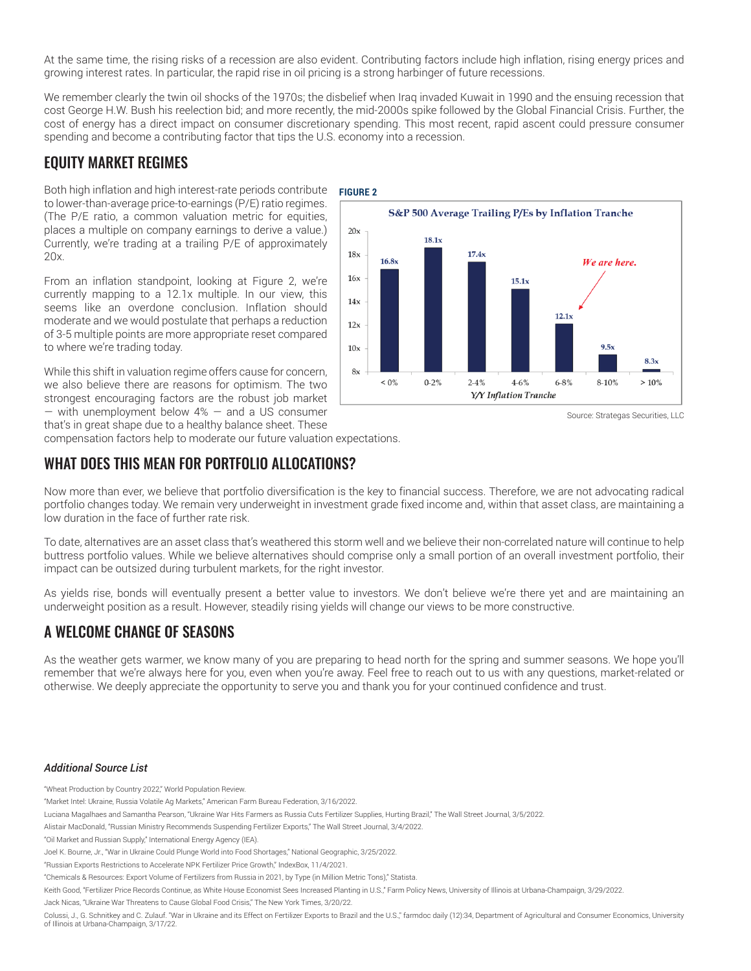At the same time, the rising risks of a recession are also evident. Contributing factors include high inflation, rising energy prices and growing interest rates. In particular, the rapid rise in oil pricing is a strong harbinger of future recessions.

We remember clearly the twin oil shocks of the 1970s; the disbelief when Iraq invaded Kuwait in 1990 and the ensuing recession that cost George H.W. Bush his reelection bid; and more recently, the mid-2000s spike followed by the Global Financial Crisis. Further, the cost of energy has a direct impact on consumer discretionary spending. This most recent, rapid ascent could pressure consumer spending and become a contributing factor that tips the U.S. economy into a recession.

#### EQUITY MARKET REGIMES

Both high inflation and high interest-rate periods contribute to lower-than-average price-to-earnings (P/E) ratio regimes. (The P/E ratio, a common valuation metric for equities, places a multiple on company earnings to derive a value.) Currently, we're trading at a trailing P/E of approximately 20x.

From an inflation standpoint, looking at Figure 2, we're currently mapping to a 12.1x multiple. In our view, this seems like an overdone conclusion. Inflation should moderate and we would postulate that perhaps a reduction of 3-5 multiple points are more appropriate reset compared to where we're trading today.

While this shift in valuation regime offers cause for concern, we also believe there are reasons for optimism. The two strongest encouraging factors are the robust job market  $-$  with unemployment below  $4\%$   $-$  and a US consumer that's in great shape due to a healthy balance sheet. These



Source: Strategas Securities, LLC

compensation factors help to moderate our future valuation expectations.

#### WHAT DOES THIS MEAN FOR PORTFOLIO ALLOCATIONS?

Now more than ever, we believe that portfolio diversification is the key to financial success. Therefore, we are not advocating radical portfolio changes today. We remain very underweight in investment grade fixed income and, within that asset class, are maintaining a low duration in the face of further rate risk.

To date, alternatives are an asset class that's weathered this storm well and we believe their non-correlated nature will continue to help buttress portfolio values. While we believe alternatives should comprise only a small portion of an overall investment portfolio, their impact can be outsized during turbulent markets, for the right investor.

As yields rise, bonds will eventually present a better value to investors. We don't believe we're there yet and are maintaining an underweight position as a result. However, steadily rising yields will change our views to be more constructive.

### A WELCOME CHANGE OF SEASONS

As the weather gets warmer, we know many of you are preparing to head north for the spring and summer seasons. We hope you'll remember that we're always here for you, even when you're away. Feel free to reach out to us with any questions, market-related or otherwise. We deeply appreciate the opportunity to serve you and thank you for your continued confidence and trust.

#### *Additional Source List*

"Wheat Production by Country 2022," World Population Review.

Jack Nicas, "Ukraine War Threatens to Cause Global Food Crisis," The New York Times, 3/20/22.

<sup>&</sup>quot;Market Intel: Ukraine, Russia Volatile Ag Markets," American Farm Bureau Federation, 3/16/2022.

Luciana Magalhaes and Samantha Pearson, "Ukraine War Hits Farmers as Russia Cuts Fertilizer Supplies, Hurting Brazil," The Wall Street Journal, 3/5/2022.

Alistair MacDonald, "Russian Ministry Recommends Suspending Fertilizer Exports," The Wall Street Journal, 3/4/2022.

<sup>&</sup>quot;Oil Market and Russian Supply," International Energy Agency (IEA).

Joel K. Bourne, Jr., "War in Ukraine Could Plunge World into Food Shortages," National Geographic, 3/25/2022.

<sup>&</sup>quot;Russian Exports Restrictions to Accelerate NPK Fertilizer Price Growth," IndexBox, 11/4/2021.

<sup>&</sup>quot;Chemicals & Resources: Export Volume of Fertilizers from Russia in 2021, by Type (in Million Metric Tons)," Statista.

Keith Good, "Fertilizer Price Records Continue, as White House Economist Sees Increased Planting in U.S.," Farm Policy News, University of Illinois at Urbana-Champaign, 3/29/2022.

Colussi, J., G. Schnitkey and C. Zulauf. "War in Ukraine and its Effect on Fertilizer Exports to Brazil and the U.S.," farmdoc daily (12):34, Department of Agricultural and Consumer Economics, University of Illinois at Urbana-Champaign, 3/17/22.